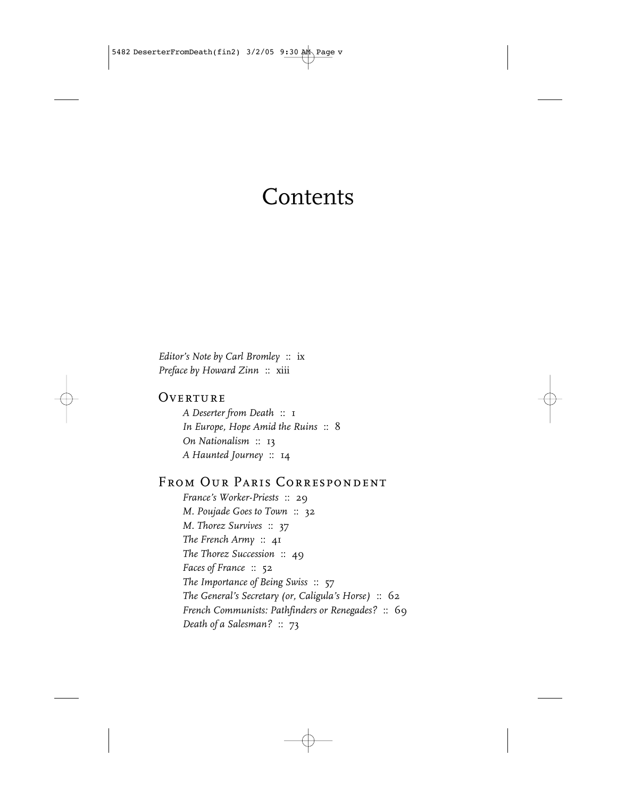# **Contents**

*Editor's Note by Carl Bromley* :: ix *Preface by Howard Zinn* :: xiii

#### OVERTURE

*A Deserter from Death* :: 1 *In Europe, Hope Amid the Ruins* :: 8 *On Nationalism* :: 13 *A Haunted Journey* :: 14

## From Our Paris Correspondent

*France's Worker-Priests* :: 29 *M. Poujade Goes to Town* :: 32 *M. Thorez Survives* :: 37 *The French Army* :: 41 *The Thorez Succession* :: 49 *Faces of France* :: 52 *The Importance of Being Swiss* :: 57 *The General's Secretary (or, Caligula's Horse)* :: 62 *French Communists: Pathfinders or Renegades?* :: 69 *Death of a Salesman?* :: 73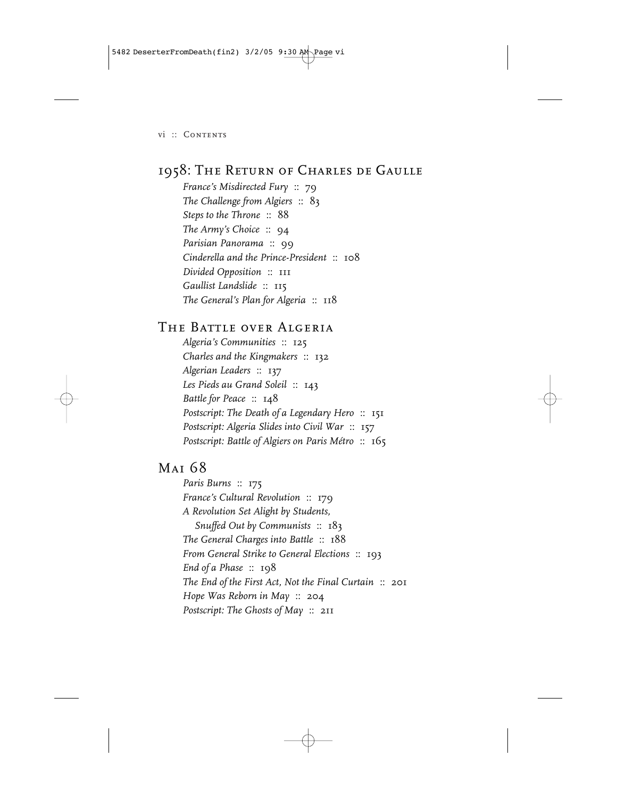5482 DeserterFromDeath(fin2) 3/2/05 9:30 AM Page vi

vi :: Contents

## 1958: The Return of Charles de Gaulle

*France's Misdirected Fury* :: 79 *The Challenge from Algiers* :: 83 *Steps to the Throne* :: 88 *The Army's Choice* :: 94 *Parisian Panorama* :: 99 *Cinderella and the Prince-President* :: 108 *Divided Opposition* :: 111 *Gaullist Landslide* :: 115 *The General's Plan for Algeria* :: 118

### THE BATTLE OVER ALGERIA

*Algeria's Communities* :: 125 *Charles and the Kingmakers* :: 132 *Algerian Leaders* :: 137 *Les Pieds au Grand Soleil* :: 143 *Battle for Peace* :: 148 *Postscript: The Death of a Legendary Hero* :: 151 *Postscript: Algeria Slides into Civil War* :: 157 *Postscript: Battle of Algiers on Paris Métro* :: 165

## Mai 68

*Paris Burns* :: 175 *France's Cultural Revolution* :: 179 *A Revolution Set Alight by Students, Snuffed Out by Communists* :: 183 *The General Charges into Battle* :: 188 *From General Strike to General Elections* :: 193 *End of a Phase* :: 198 *The End of the First Act, Not the Final Curtain* :: 201 *Hope Was Reborn in May* :: 204 *Postscript: The Ghosts of May* :: 211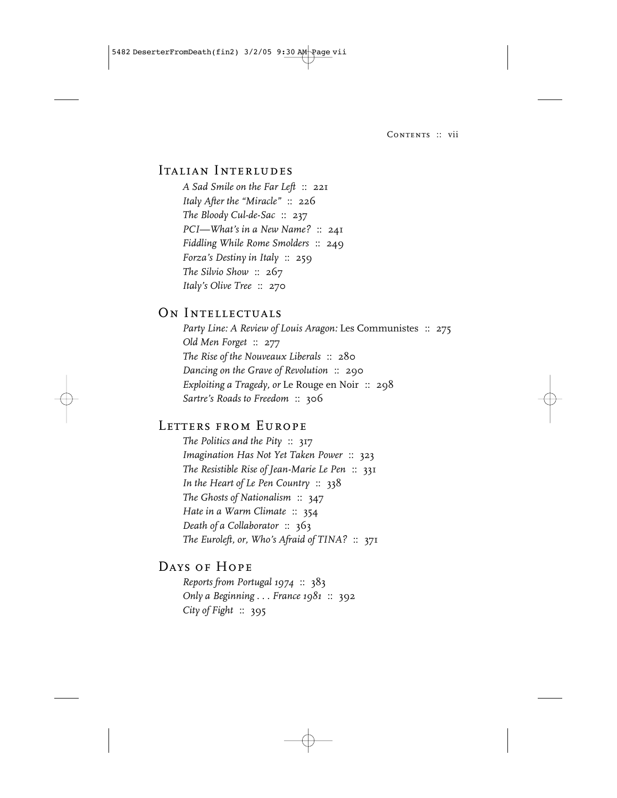5482 DeserterFromDeath(fin2) 3/2/05 9:30 AM Page vii

CONTENTS :: vii

#### ITALIAN INTERLUDES

*A Sad Smile on the Far Left* :: 221 *Italy After the "Miracle"* :: 226 *The Bloody Cul-de-Sac* :: 237 *PCI—What's in a New Name?* :: 241 *Fiddling While Rome Smolders* :: 249 *Forza's Destiny in Italy* :: 259 *The Silvio Show* :: 267 *Italy's Olive Tree* :: 270

#### ON INTELLECTUALS

*Party Line: A Review of Louis Aragon:* Les Communistes :: 275 *Old Men Forget* :: 277 *The Rise of the Nouveaux Liberals* :: 280 *Dancing on the Grave of Revolution* :: 290 *Exploiting a Tragedy, or* Le Rouge en Noir :: 298 *Sartre's Roads to Freedom* :: 306

#### LETTERS FROM EUROPE

*The Politics and the Pity* :: 317 *Imagination Has Not Yet Taken Power* :: 323 *The Resistible Rise of Jean-Marie Le Pen* :: 331 *In the Heart of Le Pen Country* :: 338 *The Ghosts of Nationalism* :: 347 *Hate in a Warm Climate* :: 354 *Death of a Collaborator* :: 363 *The Euroleft, or, Who's Afraid of TINA?* :: 371

## Days of Hope

*Reports from Portugal 1974* :: 383 *Only a Beginning . . . France 1981* :: 392 *City of Fight* :: 395